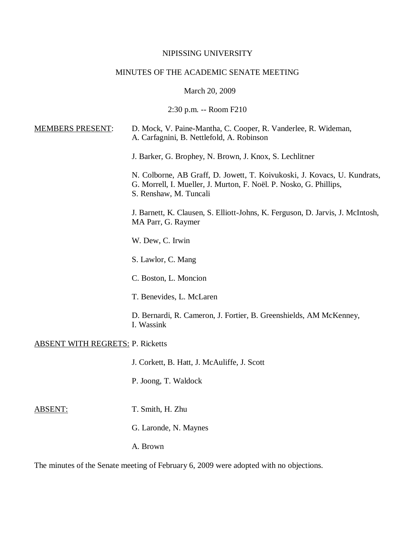# NIPISSING UNIVERSITY

# MINUTES OF THE ACADEMIC SENATE MEETING

March 20, 2009

2:30 p.m. -- Room F210

| <b>MEMBERS PRESENT:</b>                 | D. Mock, V. Paine-Mantha, C. Cooper, R. Vanderlee, R. Wideman,<br>A. Carfagnini, B. Nettlefold, A. Robinson                                                              |
|-----------------------------------------|--------------------------------------------------------------------------------------------------------------------------------------------------------------------------|
|                                         | J. Barker, G. Brophey, N. Brown, J. Knox, S. Lechlitner                                                                                                                  |
|                                         | N. Colborne, AB Graff, D. Jowett, T. Koivukoski, J. Kovacs, U. Kundrats,<br>G. Morrell, I. Mueller, J. Murton, F. Noël. P. Nosko, G. Phillips,<br>S. Renshaw, M. Tuncali |
|                                         | J. Barnett, K. Clausen, S. Elliott-Johns, K. Ferguson, D. Jarvis, J. McIntosh,<br>MA Parr, G. Raymer                                                                     |
|                                         | W. Dew, C. Irwin                                                                                                                                                         |
|                                         | S. Lawlor, C. Mang                                                                                                                                                       |
|                                         | C. Boston, L. Moncion                                                                                                                                                    |
|                                         | T. Benevides, L. McLaren                                                                                                                                                 |
|                                         | D. Bernardi, R. Cameron, J. Fortier, B. Greenshields, AM McKenney,<br>I. Wassink                                                                                         |
| <b>ABSENT WITH REGRETS: P. Ricketts</b> |                                                                                                                                                                          |
|                                         | J. Corkett, B. Hatt, J. McAuliffe, J. Scott                                                                                                                              |
|                                         | P. Joong, T. Waldock                                                                                                                                                     |
|                                         |                                                                                                                                                                          |
| <b>ABSENT:</b>                          | T. Smith, H. Zhu                                                                                                                                                         |
|                                         | G. Laronde, N. Maynes                                                                                                                                                    |
|                                         | A. Brown                                                                                                                                                                 |

The minutes of the Senate meeting of February 6, 2009 were adopted with no objections.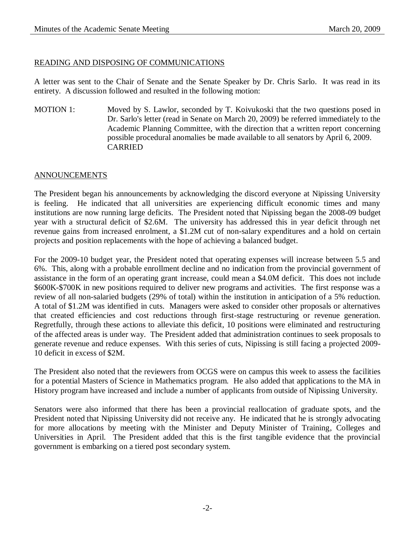# READING AND DISPOSING OF COMMUNICATIONS

A letter was sent to the Chair of Senate and the Senate Speaker by Dr. Chris Sarlo. It was read in its entirety. A discussion followed and resulted in the following motion:

MOTION 1: Moved by S. Lawlor, seconded by T. Koivukoski that the two questions posed in Dr. Sarlo's letter (read in Senate on March 20, 2009) be referred immediately to the Academic Planning Committee, with the direction that a written report concerning possible procedural anomalies be made available to all senators by April 6, 2009. CARRIED

## ANNOUNCEMENTS

The President began his announcements by acknowledging the discord everyone at Nipissing University is feeling. He indicated that all universities are experiencing difficult economic times and many institutions are now running large deficits. The President noted that Nipissing began the 2008-09 budget year with a structural deficit of \$2.6M. The university has addressed this in year deficit through net revenue gains from increased enrolment, a \$1.2M cut of non-salary expenditures and a hold on certain projects and position replacements with the hope of achieving a balanced budget.

For the 2009-10 budget year, the President noted that operating expenses will increase between 5.5 and 6%. This, along with a probable enrollment decline and no indication from the provincial government of assistance in the form of an operating grant increase, could mean a \$4.0M deficit. This does not include \$600K-\$700K in new positions required to deliver new programs and activities. The first response was a review of all non-salaried budgets (29% of total) within the institution in anticipation of a 5% reduction. A total of \$1.2M was identified in cuts. Managers were asked to consider other proposals or alternatives that created efficiencies and cost reductions through first-stage restructuring or revenue generation. Regretfully, through these actions to alleviate this deficit, 10 positions were eliminated and restructuring of the affected areas is under way. The President added that administration continues to seek proposals to generate revenue and reduce expenses. With this series of cuts, Nipissing is still facing a projected 2009- 10 deficit in excess of \$2M.

The President also noted that the reviewers from OCGS were on campus this week to assess the facilities for a potential Masters of Science in Mathematics program. He also added that applications to the MA in History program have increased and include a number of applicants from outside of Nipissing University.

Senators were also informed that there has been a provincial reallocation of graduate spots, and the President noted that Nipissing University did not receive any. He indicated that he is strongly advocating for more allocations by meeting with the Minister and Deputy Minister of Training, Colleges and Universities in April. The President added that this is the first tangible evidence that the provincial government is embarking on a tiered post secondary system.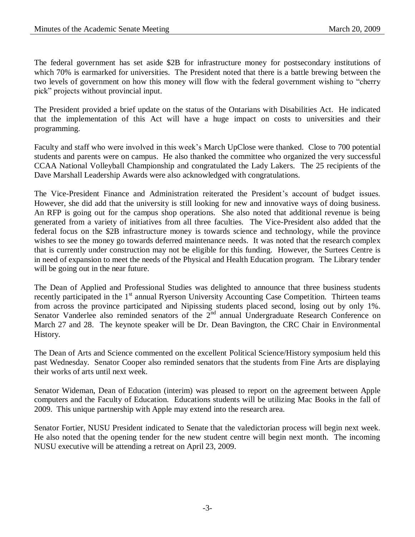The federal government has set aside \$2B for infrastructure money for postsecondary institutions of which 70% is earmarked for universities. The President noted that there is a battle brewing between the two levels of government on how this money will flow with the federal government wishing to "cherry pick" projects without provincial input.

The President provided a brief update on the status of the Ontarians with Disabilities Act. He indicated that the implementation of this Act will have a huge impact on costs to universities and their programming.

Faculty and staff who were involved in this week's March UpClose were thanked. Close to 700 potential students and parents were on campus. He also thanked the committee who organized the very successful CCAA National Volleyball Championship and congratulated the Lady Lakers. The 25 recipients of the Dave Marshall Leadership Awards were also acknowledged with congratulations.

The Vice-President Finance and Administration reiterated the President's account of budget issues. However, she did add that the university is still looking for new and innovative ways of doing business. An RFP is going out for the campus shop operations. She also noted that additional revenue is being generated from a variety of initiatives from all three faculties. The Vice-President also added that the federal focus on the \$2B infrastructure money is towards science and technology, while the province wishes to see the money go towards deferred maintenance needs. It was noted that the research complex that is currently under construction may not be eligible for this funding. However, the Surtees Centre is in need of expansion to meet the needs of the Physical and Health Education program. The Library tender will be going out in the near future.

The Dean of Applied and Professional Studies was delighted to announce that three business students recently participated in the 1<sup>st</sup> annual Ryerson University Accounting Case Competition. Thirteen teams from across the province participated and Nipissing students placed second, losing out by only 1%. Senator Vanderlee also reminded senators of the 2<sup>nd</sup> annual Undergraduate Research Conference on March 27 and 28. The keynote speaker will be Dr. Dean Bavington, the CRC Chair in Environmental History.

The Dean of Arts and Science commented on the excellent Political Science/History symposium held this past Wednesday. Senator Cooper also reminded senators that the students from Fine Arts are displaying their works of arts until next week.

Senator Wideman, Dean of Education (interim) was pleased to report on the agreement between Apple computers and the Faculty of Education. Educations students will be utilizing Mac Books in the fall of 2009. This unique partnership with Apple may extend into the research area.

Senator Fortier, NUSU President indicated to Senate that the valedictorian process will begin next week. He also noted that the opening tender for the new student centre will begin next month. The incoming NUSU executive will be attending a retreat on April 23, 2009.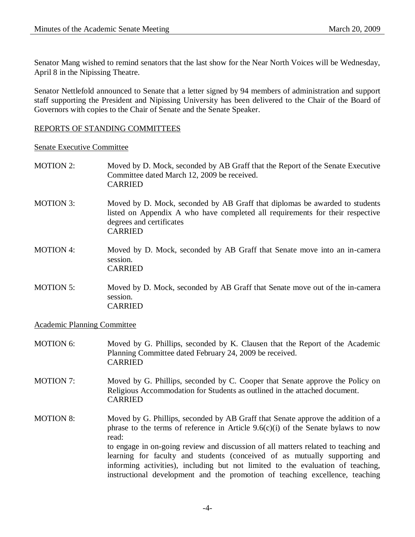Senator Mang wished to remind senators that the last show for the Near North Voices will be Wednesday, April 8 in the Nipissing Theatre.

Senator Nettlefold announced to Senate that a letter signed by 94 members of administration and support staff supporting the President and Nipissing University has been delivered to the Chair of the Board of Governors with copies to the Chair of Senate and the Senate Speaker.

## REPORTS OF STANDING COMMITTEES

Senate Executive Committee

| <b>MOTION 2:</b> | Moved by D. Mock, seconded by AB Graff that the Report of the Senate Executive<br>Committee dated March 12, 2009 be received.<br><b>CARRIED</b>                                                            |
|------------------|------------------------------------------------------------------------------------------------------------------------------------------------------------------------------------------------------------|
| <b>MOTION 3:</b> | Moved by D. Mock, seconded by AB Graff that diplomas be awarded to students<br>listed on Appendix A who have completed all requirements for their respective<br>degrees and certificates<br><b>CARRIED</b> |
| <b>MOTION 4:</b> | Moved by D. Mock, seconded by AB Graff that Senate move into an in-camera<br>session.<br><b>CARRIED</b>                                                                                                    |
| <b>MOTION 5:</b> | Moved by D. Mock, seconded by AB Graff that Senate move out of the in-camera<br>session.<br><b>CARRIED</b>                                                                                                 |

Academic Planning Committee

- MOTION 6: Moved by G. Phillips, seconded by K. Clausen that the Report of the Academic Planning Committee dated February 24, 2009 be received. CARRIED
- MOTION 7: Moved by G. Phillips, seconded by C. Cooper that Senate approve the Policy on Religious Accommodation for Students as outlined in the attached document. CARRIED
- MOTION 8: Moved by G. Phillips, seconded by AB Graff that Senate approve the addition of a phrase to the terms of reference in Article  $9.6(c)(i)$  of the Senate bylaws to now read: to engage in on-going review and discussion of all matters related to teaching and learning for faculty and students (conceived of as mutually supporting and informing activities), including but not limited to the evaluation of teaching, instructional development and the promotion of teaching excellence, teaching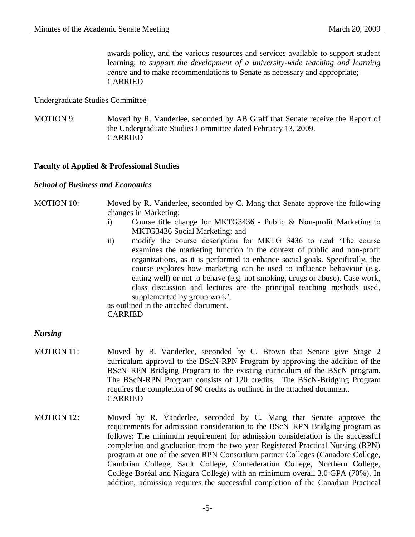awards policy, and the various resources and services available to support student learning, *to support the development of a university-wide teaching and learning centre* and to make recommendations to Senate as necessary and appropriate; CARRIED

#### Undergraduate Studies Committee

MOTION 9: Moved by R. Vanderlee, seconded by AB Graff that Senate receive the Report of the Undergraduate Studies Committee dated February 13, 2009. CARRIED

#### **Faculty of Applied & Professional Studies**

#### *School of Business and Economics*

# MOTION 10: Moved by R. Vanderlee, seconded by C. Mang that Senate approve the following changes in Marketing:

- i) Course title change for MKTG3436 Public & Non-profit Marketing to MKTG3436 Social Marketing; and
- ii) modify the course description for MKTG 3436 to read 'The course examines the marketing function in the context of public and non-profit organizations, as it is performed to enhance social goals. Specifically, the course explores how marketing can be used to influence behaviour (e.g. eating well) or not to behave (e.g. not smoking, drugs or abuse). Case work, class discussion and lectures are the principal teaching methods used, supplemented by group work'.

as outlined in the attached document. CARRIED

#### *Nursing*

- MOTION 11: Moved by R. Vanderlee, seconded by C. Brown that Senate give Stage 2 curriculum approval to the BScN-RPN Program by approving the addition of the BScN–RPN Bridging Program to the existing curriculum of the BScN program. The BScN-RPN Program consists of 120 credits. The BScN-Bridging Program requires the completion of 90 credits as outlined in the attached document. CARRIED
- MOTION 12**:** Moved by R. Vanderlee, seconded by C. Mang that Senate approve the requirements for admission consideration to the BScN–RPN Bridging program as follows: The minimum requirement for admission consideration is the successful completion and graduation from the two year Registered Practical Nursing (RPN) program at one of the seven RPN Consortium partner Colleges (Canadore College, Cambrian College, Sault College, Confederation College, Northern College, Collège Boréal and Niagara College) with an minimum overall 3.0 GPA (70%). In addition, admission requires the successful completion of the Canadian Practical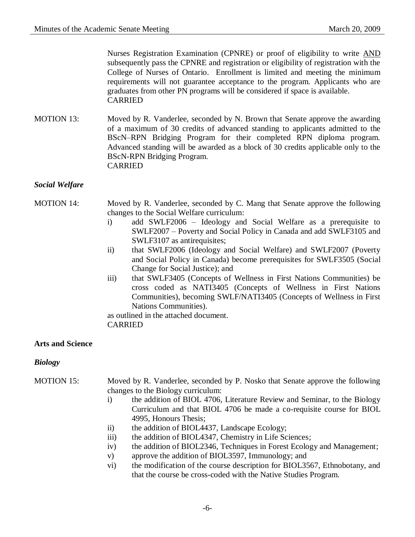Nurses Registration Examination (CPNRE) or proof of eligibility to write AND subsequently pass the CPNRE and registration or eligibility of registration with the College of Nurses of Ontario. Enrollment is limited and meeting the minimum requirements will not guarantee acceptance to the program. Applicants who are graduates from other PN programs will be considered if space is available. CARRIED

MOTION 13: Moved by R. Vanderlee, seconded by N. Brown that Senate approve the awarding of a maximum of 30 credits of advanced standing to applicants admitted to the BScN–RPN Bridging Program for their completed RPN diploma program. Advanced standing will be awarded as a block of 30 credits applicable only to the BScN-RPN Bridging Program. CARRIED

#### *Social Welfare*

- MOTION 14: Moved by R. Vanderlee, seconded by C. Mang that Senate approve the following changes to the Social Welfare curriculum:
	- i) add SWLF2006 Ideology and Social Welfare as a prerequisite to SWLF2007 – Poverty and Social Policy in Canada and add SWLF3105 and SWLF3107 as antirequisites;
	- ii) that SWLF2006 (Ideology and Social Welfare) and SWLF2007 (Poverty and Social Policy in Canada) become prerequisites for SWLF3505 (Social Change for Social Justice); and
	- iii) that SWLF3405 (Concepts of Wellness in First Nations Communities) be cross coded as NATI3405 (Concepts of Wellness in First Nations Communities), becoming SWLF/NATI3405 (Concepts of Wellness in First Nations Communities).

as outlined in the attached document. CARRIED

#### **Arts and Science**

#### *Biology*

# MOTION 15: Moved by R. Vanderlee, seconded by P. Nosko that Senate approve the following changes to the Biology curriculum:

- i) the addition of BIOL 4706, Literature Review and Seminar, to the Biology Curriculum and that BIOL 4706 be made a co-requisite course for BIOL 4995, Honours Thesis;
- ii) the addition of BIOL4437, Landscape Ecology;
- iii) the addition of BIOL4347, Chemistry in Life Sciences;
- iv) the addition of BIOL2346, Techniques in Forest Ecology and Management;
- v) approve the addition of BIOL3597, Immunology; and
- vi) the modification of the course description for BIOL3567, Ethnobotany, and that the course be cross-coded with the Native Studies Program.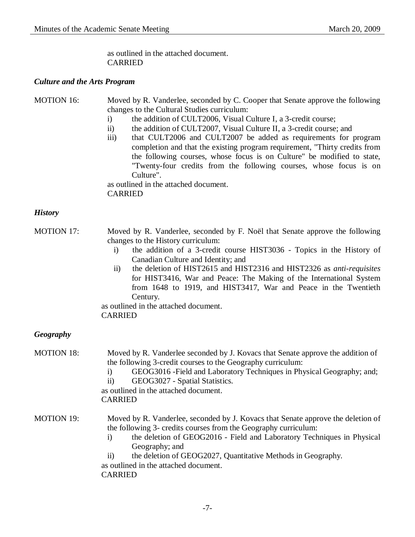as outlined in the attached document. CARRIED

## *Culture and the Arts Program*

# MOTION 16: Moved by R. Vanderlee, seconded by C. Cooper that Senate approve the following changes to the Cultural Studies curriculum:

- i) the addition of CULT2006, Visual Culture I, a 3-credit course;
- ii) the addition of CULT2007, Visual Culture II, a 3-credit course; and
- iii) that CULT2006 and CULT2007 be added as requirements for program completion and that the existing program requirement, "Thirty credits from the following courses, whose focus is on Culture" be modified to state, "Twenty-four credits from the following courses, whose focus is on Culture".

as outlined in the attached document. CARRIED

#### *History*

- MOTION 17: Moved by R. Vanderlee, seconded by F. Noël that Senate approve the following changes to the History curriculum:
	- i) the addition of a 3-credit course HIST3036 Topics in the History of Canadian Culture and Identity; and
	- ii) the deletion of HIST2615 and HIST2316 and HIST2326 as *anti-requisites* for HIST3416, War and Peace: The Making of the International System from 1648 to 1919, and HIST3417, War and Peace in the Twentieth Century.

as outlined in the attached document. CARRIED

#### *Geography*

# MOTION 18: Moved by R. Vanderlee seconded by J. Kovacs that Senate approve the addition of the following 3-credit courses to the Geography curriculum: i) GEOG3016 -Field and Laboratory Techniques in Physical Geography; and; ii) GEOG3027 - Spatial Statistics. as outlined in the attached document. CARRIED MOTION 19: Moved by R. Vanderlee, seconded by J. Kovacs that Senate approve the deletion of the following 3- credits courses from the Geography curriculum: i) the deletion of GEOG2016 - Field and Laboratory Techniques in Physical Geography; and ii) the deletion of GEOG2027, Quantitative Methods in Geography. as outlined in the attached document. CARRIED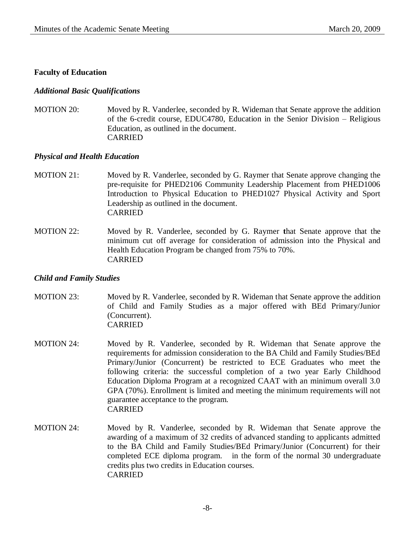## **Faculty of Education**

## *Additional Basic Qualifications*

MOTION 20: Moved by R. Vanderlee, seconded by R. Wideman that Senate approve the addition of the 6-credit course, EDUC4780, Education in the Senior Division – Religious Education, as outlined in the document. CARRIED

## *Physical and Health Education*

- MOTION 21: Moved by R. Vanderlee, seconded by G. Raymer that Senate approve changing the pre-requisite for PHED2106 Community Leadership Placement from PHED1006 Introduction to Physical Education to PHED1027 Physical Activity and Sport Leadership as outlined in the document. CARRIED
- MOTION 22: Moved by R. Vanderlee, seconded by G. Raymer **t**hat Senate approve that the minimum cut off average for consideration of admission into the Physical and Health Education Program be changed from 75% to 70%. CARRIED

# *Child and Family Studies*

- MOTION 23: Moved by R. Vanderlee, seconded by R. Wideman that Senate approve the addition of Child and Family Studies as a major offered with BEd Primary/Junior (Concurrent). CARRIED
- MOTION 24: Moved by R. Vanderlee, seconded by R. Wideman that Senate approve the requirements for admission consideration to the BA Child and Family Studies/BEd Primary/Junior (Concurrent) be restricted to ECE Graduates who meet the following criteria: the successful completion of a two year Early Childhood Education Diploma Program at a recognized CAAT with an minimum overall 3.0 GPA (70%). Enrollment is limited and meeting the minimum requirements will not guarantee acceptance to the program. CARRIED
- MOTION 24: Moved by R. Vanderlee, seconded by R. Wideman that Senate approve the awarding of a maximum of 32 credits of advanced standing to applicants admitted to the BA Child and Family Studies/BEd Primary/Junior (Concurrent) for their completed ECE diploma program. in the form of the normal 30 undergraduate credits plus two credits in Education courses. CARRIED